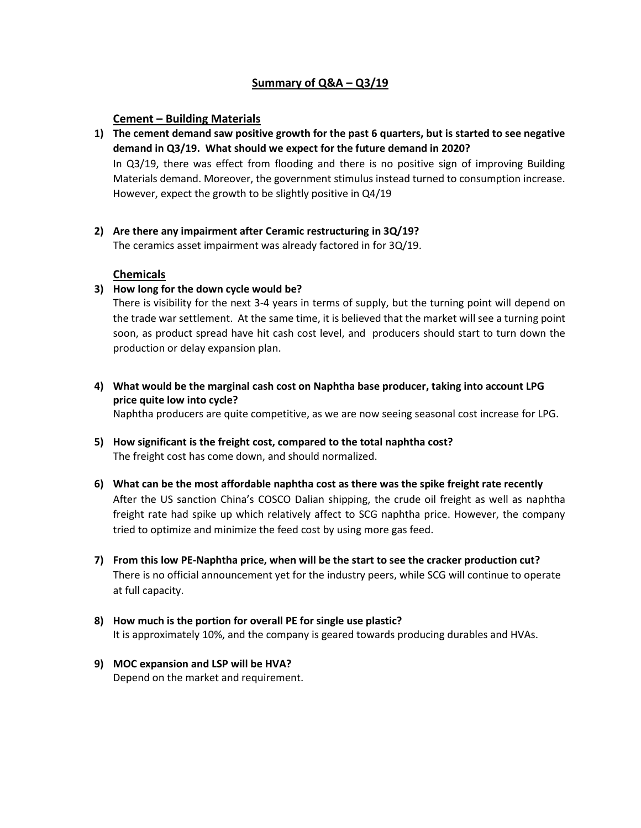## **Summary of Q&A – Q3/19**

### **Cement – Building Materials**

- **1) The cement demand saw positive growth for the past 6 quarters, but is started to see negative demand in Q3/19. What should we expect for the future demand in 2020?** In Q3/19, there was effect from flooding and there is no positive sign of improving Building Materials demand. Moreover, the government stimulus instead turned to consumption increase. However, expect the growth to be slightly positive in Q4/19
- **2) Are there any impairment after Ceramic restructuring in 3Q/19?**

The ceramics asset impairment was already factored in for 3Q/19.

### **Chemicals**

#### **3) How long for the down cycle would be?**

There is visibility for the next 3-4 years in terms of supply, but the turning point will depend on the trade war settlement. At the same time, it is believed that the market will see a turning point soon, as product spread have hit cash cost level, and producers should start to turn down the production or delay expansion plan.

**4) What would be the marginal cash cost on Naphtha base producer, taking into account LPG price quite low into cycle?**

Naphtha producers are quite competitive, as we are now seeing seasonal cost increase for LPG.

- **5) How significant is the freight cost, compared to the total naphtha cost?** The freight cost has come down, and should normalized.
- **6) What can be the most affordable naphtha cost as there was the spike freight rate recently** After the US sanction China's COSCO Dalian shipping, the crude oil freight as well as naphtha freight rate had spike up which relatively affect to SCG naphtha price. However, the company tried to optimize and minimize the feed cost by using more gas feed.
- **7) From this low PE-Naphtha price, when will be the start to see the cracker production cut?** There is no official announcement yet for the industry peers, while SCG will continue to operate at full capacity.
- **8) How much is the portion for overall PE for single use plastic?** It is approximately 10%, and the company is geared towards producing durables and HVAs.
- **9) MOC expansion and LSP will be HVA?**  Depend on the market and requirement.